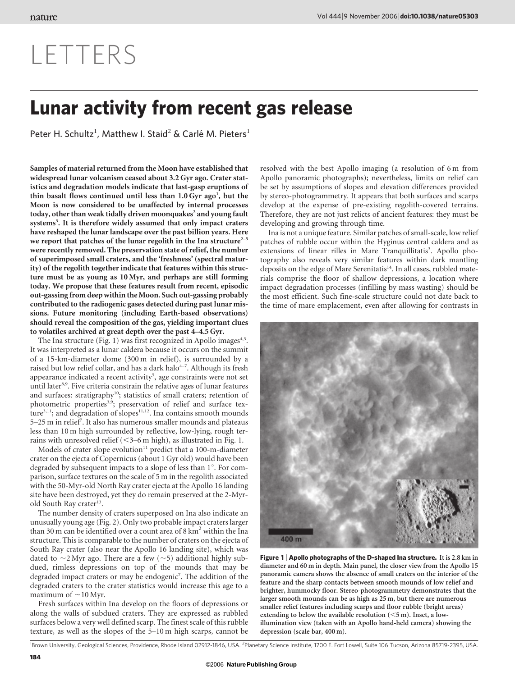## LETTERS

## Lunar activity from recent gas release

Peter H. Schultz<sup>1</sup>, Matthew I. Staid<sup>2</sup> & Carlé M. Pieters<sup>1</sup>

Samples of material returned from the Moon have established that widespread lunar volcanism ceased about 3.2 Gyr ago. Crater statistics and degradation models indicate that last-gasp eruptions of thin basalt flows continued until less than 1.0 Gyr ago<sup>1</sup>, but the Moon is now considered to be unaffected by internal processes today, other than weak tidally driven moonquakes<sup>2</sup> and young fault systems<sup>3</sup>. It is therefore widely assumed that only impact craters have reshaped the lunar landscape over the past billion years. Here we report that patches of the lunar regolith in the Ina structure $2-5$ were recently removed. The preservation state of relief, the number of superimposed small craters, and the 'freshness' (spectral maturity) of the regolith together indicate that features within this structure must be as young as 10 Myr, and perhaps are still forming today. We propose that these features result from recent, episodic out-gassing from deep within the Moon. Such out-gassing probably contributed to the radiogenic gases detected during past lunar missions. Future monitoring (including Earth-based observations) should reveal the composition of the gas, yielding important clues to volatiles archived at great depth over the past 4–4.5 Gyr.

The Ina structure (Fig. 1) was first recognized in Apollo images<sup>4,5</sup>. It was interpreted as a lunar caldera because it occurs on the summit of a 15-km-diameter dome (300 m in relief), is surrounded by a raised but low relief collar, and has a dark halo<sup>4-7</sup>. Although its fresh appearance indicated a recent activity<sup>5</sup>, age constraints were not set until later<sup>8,9</sup>. Five criteria constrain the relative ages of lunar features and surfaces: stratigraphy<sup>10</sup>; statistics of small craters; retention of photometric properties<sup>3,9</sup>; preservation of relief and surface texture<sup>3,11</sup>; and degradation of slopes<sup>11,12</sup>. Ina contains smooth mounds 5-25 m in relief<sup>7</sup>. It also has numerous smaller mounds and plateaus less than 10 m high surrounded by reflective, low-lying, rough terrains with unresolved relief  $( $3-6$  m high), as illustrated in Fig. 1.$ 

Models of crater slope evolution $11$  predict that a 100-m-diameter crater on the ejecta of Copernicus (about 1 Gyr old) would have been degraded by subsequent impacts to a slope of less than 1<sup>°</sup>. For comparison, surface textures on the scale of 5 m in the regolith associated with the 50-Myr-old North Ray crater ejecta at the Apollo 16 landing site have been destroyed, yet they do remain preserved at the 2-Myrold South Ray crater<sup>13</sup>.

The number density of craters superposed on Ina also indicate an unusually young age (Fig. 2). Only two probable impact craters larger than 30 m can be identified over a count area of  $8 \text{ km}^2$  within the Ina structure. This is comparable to the number of craters on the ejecta of South Ray crater (also near the Apollo 16 landing site), which was dated to  $\sim$ 2 Myr ago. There are a few ( $\sim$ 5) additional highly subdued, rimless depressions on top of the mounds that may be degraded impact craters or may be endogenic<sup>7</sup>. The addition of the degraded craters to the crater statistics would increase this age to a maximum of  $\sim$ 10 Myr.

Fresh surfaces within Ina develop on the floors of depressions or along the walls of subdued craters. They are expressed as rubbled surfaces below a very well defined scarp. The finest scale of this rubble texture, as well as the slopes of the 5–10 m high scarps, cannot be

resolved with the best Apollo imaging (a resolution of 6 m from Apollo panoramic photographs); nevertheless, limits on relief can be set by assumptions of slopes and elevation differences provided by stereo-photogrammetry. It appears that both surfaces and scarps develop at the expense of pre-existing regolith-covered terrains. Therefore, they are not just relicts of ancient features: they must be developing and growing through time.

Ina is not a unique feature. Similar patches of small-scale, low relief patches of rubble occur within the Hyginus central caldera and as extensions of linear rilles in Mare Tranquillitatis<sup>3</sup>. Apollo photography also reveals very similar features within dark mantling deposits on the edge of Mare Serenitatis<sup>14</sup>. In all cases, rubbled materials comprise the floor of shallow depressions, a location where impact degradation processes (infilling by mass wasting) should be the most efficient. Such fine-scale structure could not date back to the time of mare emplacement, even after allowing for contrasts in



Figure 1 | Apollo photographs of the D-shaped Ina structure. It is 2.8 km in diameter and 60 m in depth. Main panel, the closer view from the Apollo 15 panoramic camera shows the absence of small craters on the interior of the feature and the sharp contacts between smooth mounds of low relief and brighter, hummocky floor. Stereo-photogrammetry demonstrates that the larger smooth mounds can be as high as 25 m, but there are numerous smaller relief features including scarps and floor rubble (bright areas) extending to below the available resolution  $(<5$  m). Inset, a lowillumination view (taken with an Apollo hand-held camera) showing the depression (scale bar, 400 m).

<sup>1</sup>Brown University, Geological Sciences, Providence, Rhode Island 02912-1846, USA. <sup>2</sup>Planetary Science Institute, 1700 E. Fort Lowell, Suite 106 Tucson, Arizona 85719-2395, USA.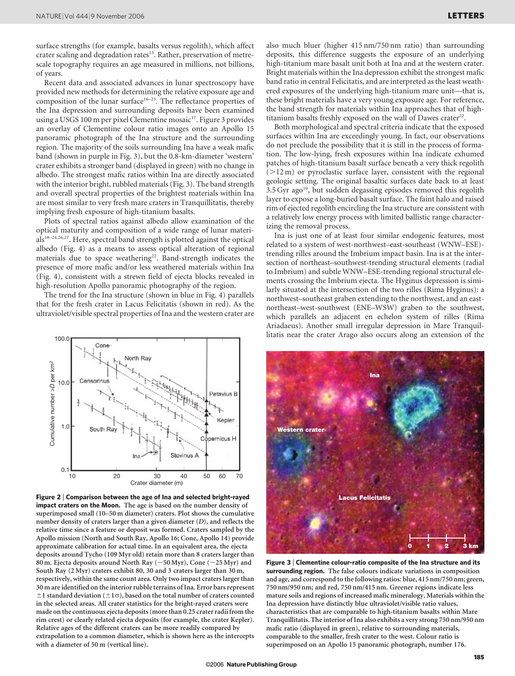surface strengths (for example, basalts versus regolith), which affect crater scaling and degradation rates<sup>15</sup>. Rather, preservation of metrescale topography requires an age measured in millions, not billions, of years.

Recent data and associated advances in lunar spectroscopy have provided new methods for determining the relative exposure age and composition of the lunar surface<sup>16–25</sup>. The reflectance properties of the Ina depression and surrounding deposits have been examined using a USGS 100 m per pixel Clementine mosaic<sup>17</sup>. Figure 3 provides an overlay of Clementine colour ratio images onto an Apollo 15 panoramic photograph of the Ina structure and the surrounding region. The majority of the soils surrounding Ina have a weak mafic band (shown in purple in Fig. 3), but the 0.8-km-diameter 'western' crater exhibits a stronger band (displayed in green) with no change in albedo. The strongest mafic ratios within Ina are directly associated with the interior bright, rubbled materials (Fig. 3). The band strength and overall spectral properties of the brightest materials within Ina are most similar to very fresh mare craters in Tranquillitatis, thereby implying fresh exposure of high-titanium basalts.

Plots of spectral ratios against albedo allow examination of the optical maturity and composition of a wide range of lunar materials18–24,26,27. Here, spectral band strength is plotted against the optical albedo (Fig. 4) as a means to assess optical alteration of regional materials due to space weathering<sup>22</sup>. Band-strength indicates the presence of more mafic and/or less weathered materials within Ina (Fig. 4), consistent with a strewn field of ejecta blocks revealed in high-resolution Apollo panoramic photography of the region.

The trend for the Ina structure (shown in blue in Fig. 4) parallels that for the fresh crater in Lacus Felicitatis (shown in red). As the ultraviolet/visible spectral properties of Ina and the western crater are also much bluer (higher 415 nm/750 nm ratio) than surrounding deposits, this difference suggests the exposure of an underlying high-titanium mare basalt unit both at Ina and at the western crater. Bright materials within the Ina depression exhibit the strongest mafic band ratio in central Felicitatis, and are interpreted as the least weathered exposures of the underlying high-titanium mare unit—that is, these bright materials have a very young exposure age. For reference, the band strength for materials within Ina approaches that of hightitanium basalts freshly exposed on the wall of Dawes crater<sup>22</sup>.

Both morphological and spectral criteria indicate that the exposed surfaces within Ina are exceedingly young. In fact, our observations do not preclude the possibility that it is still in the process of formation. The low-lying, fresh exposures within Ina indicate exhumed patches of high-titanium basalt surface beneath a very thick regolith  $(>12 \text{ m})$  or pyroclastic surface layer, consistent with the regional geologic setting. The original basaltic surfaces date back to at least  $3.5$  Gyr ago<sup>10</sup>, but sudden degassing episodes removed this regolith layer to expose a long-buried basalt surface. The faint halo and raised rim of ejected regolith encircling the Ina structure are consistent with a relatively low energy process with limited ballistic range characterizing the removal process.

Ina is just one of at least four similar endogenic features, most related to a system of west-northwest–east-southeast (WNW–ESE) trending rilles around the Imbrium impact basin. Ina is at the intersection of northeast–southwest-trending structural elements (radial to Imbrium) and subtle WNW–ESE-trending regional structural elements crossing the Imbrium ejecta. The Hyginus depression is similarly situated at the intersection of the two rilles (Rima Hyginus): a northwest–southeast graben extending to the northwest, and an eastnortheast–west-southwest (ENE–WSW) graben to the southwest, which parallels an adjacent en echelon system of rilles (Rima Ariadaeus). Another small irregular depression in Mare Tranquil-



Figure 2 <sup>|</sup> Comparison between the age of Ina and selected bright-rayed impact craters on the Moon. The age is based on the number density of superimposed small (10–50 m diameter) craters. Plot shows the cumulative number density of craters larger than a given diameter (*D*), and reflects the relative time since a feature or deposit was formed. Craters sampled by the Apollo mission (North and South Ray, Apollo 16; Cone, Apollo 14) provide approximate calibration for actual time. In an equivalent area, the ejecta deposits around Tycho (109 Myr old) retain more than 8 craters larger than 80 m. Ejecta deposits around North Ray ( $\sim$  50 Myr), Cone ( $\sim$  25 Myr) and South Ray (2 Myr) craters exhibit 80, 30 and 3 craters larger than 30 m, respectively, within the same count area. Only two impact craters larger than 30 m are identified on the interior rubble terrains of Ina. Error bars represent  $\pm 1$  standard deviation ( $\pm 1\sigma$ ), based on the total number of craters counted in the selected areas. All crater statistics for the bright-rayed craters were made on the continuous ejecta deposits (more than 0.25 crater radii from the rim crest) or clearly related ejecta deposits (for example, the crater Kepler). Relative ages of the different craters can be more readily compared by extrapolation to a common diameter, which is shown here as the intercepts with a diameter of 50 m (vertical line).



Figure 3 <sup>|</sup> Clementine colour-ratio composite of the Ina structure and its surrounding region. The false colours indicate variations in composition and age, and correspond to the following ratios: blue, 415 nm/750 nm; green, 750 nm/950 nm; and red, 750 nm/415 nm. Greener regions indicate less mature soils and regions of increased mafic mineralogy. Materials within the Ina depression have distinctly blue ultraviolet/visible ratio values, characteristics that are comparable to high-titanium basalts within Mare Tranquillitatis. The interior of Ina also exhibits a very strong 750 nm/950 nm mafic ratio (displayed in green), relative to surrounding materials, comparable to the smaller, fresh crater to the west. Colour ratio is superimposed on an Apollo 15 panoramic photograph, number 176.